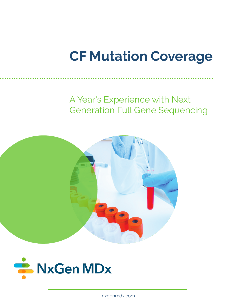# **CF Mutation Coverage**

A Year's Experience with Next Generation Full Gene Sequencing





nxgenmdx.com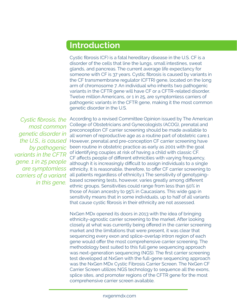### **Introduction**

Cystic fibrosis (CF) is a fatal hereditary disease in the U.S. CF is a disorder of the cells that line the lungs, small intestines, sweat glands, and pancreas. The current average life expectancy for someone with CF is 37 years. Cystic fibrosis is caused by variants in the CF transmembrane regulator (CFTR) gene, located on the long arm of chromosome 7. An individual who inherits two pathogenic variants in the CFTR gene will have CF or a CFTR-related disorder. Twelve million Americans, or 1 in 25, are symptomless carriers of pathogenic variants in the CFTR gene, making it the most common genetic disorder in the U.S.

*Cystic fibrosis, the most common genetic disorder in the U.S., is caused by pathogenic variants in the CFTR gene. 1 in 25 people are symptomless carriers of a variant in this gene.*

According to a revised Committee Opinion issued by The American College of Obstetricians and Gynecologists (ACOG), prenatal and preconception CF carrier screening should be made available to all women of reproductive age as a routine part of obstetric care.1 However, prenatal and pre-conception CF carrier screening have been routine in obstetric practice as early as 2001 with the goal of identifying couples at risk of having a child with classic CF. CF affects people of different ethnicities with varying frequency, although it is increasingly difficult to assign individuals to a single ethnicity. It is reasonable, therefore, to offer CF carrier screening to all patients regardless of ethnicity.1 The sensitivity of genotypingbased screening tests, however, varies greatly among different ethnic groups. Sensitivities could range from less than 50% in those of Asian ancestry to 95% in Caucasians. This wide gap in sensitivity means that in some individuals, up to half of all variants that cause cystic fibrosis in their ethnicity are not assessed.

NxGen MDx opened its doors in 2013 with the idea of bringing ethnicity-agnostic carrier screening to the market. After looking closely at what was currently being offered in the carrier screening market and the limitations that were present, it was clear that sequencing every exon and splice-overlap intron region of each gene would offer the most comprehensive carrier screening. The methodology best suited to this full gene sequencing approach was next-generation sequencing (NGS). The first carrier screening test developed at NxGen with the full-gene sequencing approach was the NxGen MDx Cystic Fibrosis Carrier Screen. The NxGen CF Carrier Screen utilizes NGS technology to sequence all the exons, splice sites, and promoter regions of the CFTR gene for the most comprehensive carrier screen available.

#### nxgenmdx.com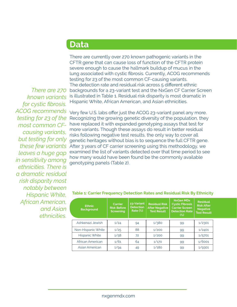### **Data**

*There are 270 known variants for cystic fibrosis. ACOG recommends testing for 23 of the causing variants, but testing for only these few variants leaves a huge gap in sensitivity among ethnicities. There is a dramatic residual risk disparity most notably between Hispanic White, African American, and Asian ethnicities.*

There are currently over 270 known pathogenic variants in the CFTR gene that can cause loss of function of the CFTR protein severe enough to cause the hallmark buildup of mucus in the lung associated with cystic fibrosis. Currently, ACOG recommends testing for 23 of the most common CF-causing variants. The detection rate and residual risk across 5 different ethnic backgrounds for a 23-variant test and the NxGen CF Carrier Screen is illustrated in Table 1. Residual risk disparity is most dramatic in Hispanic White, African American, and Asian ethnicities.

*most common CF-*have replaced it with expanded genotyping assays that test for Very few U.S. labs offer just the ACOG 23-variant panel any more. Recognizing the growing genetic diversity of the population, they more variants. Though these assays do result in better residual risks following negative test results, the only way to cover all genetic heritages without bias is to sequence the full CFTR gene. After 3 years of CF carrier screening using this methodology, we examined the list of variants detected over that time period to see how many would have been found be the commonly available genotyping panels (Table 2).

| Ethnic.<br><b>Background</b> | <b>Carrier</b><br><b>Risk Before</b><br><b>Screening</b> | 23-Variant<br><b>Detection</b><br>Rate $(\%)$ | <b>Residual Risk</b><br><b>After Negative</b><br><b>Test Result</b> | <b>NxGen MDx</b><br><b>Cystic Fibrosis</b><br><b>Carrier Screen</b><br><b>Detection Rate</b><br>$(\%)$ | <b>Residual</b><br><b>Risk After</b><br><b>Negative</b><br><b>Test Result</b> |  |
|------------------------------|----------------------------------------------------------|-----------------------------------------------|---------------------------------------------------------------------|--------------------------------------------------------------------------------------------------------|-------------------------------------------------------------------------------|--|
| Ashkenazi Jewish             | 1/24                                                     | 94                                            | 1/380                                                               | 99                                                                                                     | 1/2301                                                                        |  |
| Non-Hispanic White           | 1/25                                                     | 88                                            | 1/200                                                               | 99                                                                                                     | 1/2401                                                                        |  |
| <b>Hispanic White</b>        | 1/58                                                     | 72                                            | 1/200                                                               | 99                                                                                                     | 1/5701                                                                        |  |
| African American             | 1/61                                                     | 64                                            | 1/170                                                               | 99                                                                                                     | 1/6001                                                                        |  |
| <b>Asian American</b>        | 1/94                                                     | 49                                            | 1/180                                                               | 99                                                                                                     | 1/9301                                                                        |  |

#### **Table 1: Carrier Frequency Detection Rates and Residual Risk By Ethnicity**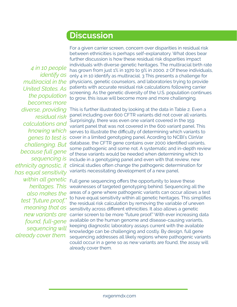## **Discussion**

*4 in 10 people identify as multiracial in the United States. As the population becomes more diverse, providing residual risk calculations and knowing which genes to test is challenging. But because full gene sequencing is ethnicity agnostic, it has equal sensitivity within all genetic heritages. This also makes the test "future proof," meaning that as new variants are found, full-gene sequencing will already cover them.*

For a given carrier screen, concern over disparities in residual risk between ethnicities is perhaps self-explanatory. What does bear further discussion is how these residual risk disparities impact individuals with diverse genetic heritages. The multiracial birth rate has grown from just 1% in 1970 to 9% in 2000. 2 Of these individuals, only 4 in 10 identify as multiracial. 3 This presents a challenge for physicians, genetic counselors, and laboratories trying to provide patients with accurate residual risk calculations following carrier screening. As the genetic diversity of the U.S. population continues to grow, this issue will become more and more challenging.

This is further illustrated by looking at the data in Table 2. Even a panel including over 600 CFTR variants did not cover all variants. Surprisingly, there was even one variant covered in the 159 variant panel that was not covered in the 600 variant panel. This serves to illustrate the difficulty of determining which variants to cover in a limited genotyping panel. Acording to NCBI's ClinVar database, the CFTR gene contains over 2000 identified variants, some pathogenic and some not. A systematic and in-depth review of these variants would be needed when determining which to include in a genotyping panel and even with that review, new clinical studies often change the pathogenic determination for variants necessitating development of a new panel.

Full gene sequencing offers the opportunity to leave these weaknesses of targeted genotyping behind. Sequencing all the areas of a gene where pathogenic variants can occur allows a test to have equal sensitivity within all genetic heritages. This simplifies the residual risk calculation by removing the variable of uneven sensitivity across different ethnicities. It also allows a genetic carrier screen to be more "future proof." With ever increasing data available on the human genome and disease-causing variants, keeping diagnostic laboratory assays current with the available knowledge can be challenging and costly. By design, full gene sequencing addresses all likely regions where pathogenic variants could occur in a gene so as new variants are found, the assay will already cover them.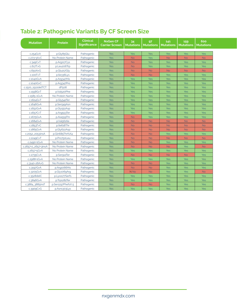### **Table 2: Pathogenic Variants By CF Screen Size**

| <b>Mutation</b>     | <b>Protein</b>           | <b>Clinical</b><br><b>Significance</b> | <b>NxGen CF</b><br><b>Carrier Screen</b> | 34<br><b>Mutations</b> | 97<br><b>Mutations</b> | $141$<br><b>Mutations</b> | 159<br><b>Mutations</b> | 600<br><b>Mutations</b> |
|---------------------|--------------------------|----------------------------------------|------------------------------------------|------------------------|------------------------|---------------------------|-------------------------|-------------------------|
| c.254G > A          | p.Gly85Glu               | Pathogenic                             | <b>Yes</b>                               | Yes                    | <b>Yes</b>             | <b>Yes</b>                | Yes                     | Yes                     |
| $C.273 + 3A > C$    | No Protein Name          | Pathogenic                             | <b>Yes</b>                               | <b>No</b>              | Yes                    | <b>No</b>                 | <b>No</b>               | <b>No</b>               |
| c.349C > T          | p.Arg117Cys              | Pathogenic                             | <b>Yes</b>                               | <b>No</b>              | Yes                    | <b>Yes</b>                | Yes                     | <b>Yes</b>              |
| c.617T>G            | p.Leu206Trp              | Pathogenic                             | <b>Yes</b>                               | <b>No</b>              | Yes                    | <b>Yes</b>                | Yes                     | Yes                     |
| c.650A>G            | p.Glu217Gly              | Pathogenic                             | <b>Yes</b>                               | <b>No</b>              | <b>No</b>              | <b>No</b>                 | <b>No</b>               | <b>No</b>               |
| C.100T > T          | p.lle336Lys              | Pathogenic                             | <b>Yes</b>                               | <b>No</b>              | <b>No</b>              | <b>Yes</b>                | Yes                     | Yes                     |
| c.1040G>A           | p.Arg347His              | Pathogenic                             | <b>Yes</b>                               | Yes                    | Yes                    | <b>Yes</b>                | <b>Yes</b>              | Yes                     |
| c.1040G>C           | p.Arg347Pro              | Pathogenic                             | <b>Yes</b>                               | Yes                    | Yes                    | <b>Yes</b>                | Yes                     | Yes                     |
| c.1520_1522delTCT   | dF <sub>508</sub>        | Pathogenic                             | <b>Yes</b>                               | Yes                    | Yes                    | <b>Yes</b>                | Yes                     | Yes                     |
| c.1558G>T           | p.Val520Phe              | Pathogenic                             | <b>Yes</b>                               | Yes                    | Yes                    | <b>Yes</b>                | Yes                     | Yes                     |
| $C.1585 - 1G > A$   | No Protein Name          | Pathogenic                             | <b>Yes</b>                               | Yes                    | <b>Yes</b>             | <b>Yes</b>                | Yes                     | Yes                     |
| c.1624G > T         | p.Gly542Ter              | Pathogenic                             | <b>Yes</b>                               | Yes                    | <b>Yes</b>             | <b>Yes</b>                | Yes                     | <b>Yes</b>              |
| c.1646G>A           | p.Ser549Asn              | Pathogenic                             | <b>Yes</b>                               | Yes                    | Yes                    | <b>Yes</b>                | Yes                     | Yes                     |
| c.1652G>A           | p.Gly551Asp              | Pathogenic                             | <b>Yes</b>                               | Yes                    | <b>Yes</b>             | <b>Yes</b>                | Yes                     | <b>Yes</b>              |
| c.1657C>T           | p.Arg553Ter              | Pathogenic                             | <b>Yes</b>                               | Yes                    | <b>Yes</b>             | <b>Yes</b>                | Yes                     | Yes                     |
| $c.1675G$ >A        | p.Ala <sub>559</sub> Thr | Pathogenic                             | <b>Yes</b>                               | <b>No</b>              | <b>Yes</b>             | <b>Yes</b>                | Yes                     | <b>Yes</b>              |
| c.1684G>A           | p.Val562lle              | Pathogenic                             | <b>Yes</b>                               | <b>No</b>              | <b>No</b>              | <b>No</b>                 | <b>No</b>               | <b>No</b>               |
| c.1853T>C           | p.lle618Thr              | Pathogenic                             | <b>Yes</b>                               | <b>No</b>              | <b>No</b>              | <b>No</b>                 | <b>No</b>               | <b>No</b>               |
| c.1865G>A           | p.Gly622Asp              | Pathogenic                             | <b>Yes</b>                               | <b>No</b>              | <b>No</b>              | <b>No</b>                 | <b>No</b>               | <b>No</b>               |
| c.2052_2053insA     | p.Gln685ThrfsX4          | Pathogenic                             | Yes                                      | <b>No</b>              | <b>No</b>              | <b>Yes</b>                | Yes                     | Yes                     |
| C.2249C > T         | p.Pro750Leu              | Pathogenic                             | <b>Yes</b>                               | <b>No</b>              | <b>No</b>              | <b>No</b>                 | <b>No</b>               | <b>No</b>               |
| c.2490+1G>A         | No Protein Name          | Pathogenic                             | <b>Yes</b>                               | <b>No</b>              | <b>No</b>              | <b>Yes</b>                | Yes                     | Yes                     |
| c.2657+2_2657+3insA | No Protein Name          | Pathogenic                             | <b>Yes</b>                               | <b>No</b>              | <b>No</b>              | <b>No</b>                 | Yes                     | <b>No</b>               |
| $c.2657 + 5G > A$   | No Protein Name          | Pathogenic                             | <b>Yes</b>                               | Yes                    | <b>Yes</b>             | <b>Yes</b>                | Yes                     | Yes                     |
| c.2735C>A           | p.Serg12Ter              | Pathogenic                             | <b>Yes</b>                               | <b>No</b>              | <b>No</b>              | <b>No</b>                 | <b>No</b>               | Yes                     |
| c.2988+1G>A         | No Protein Name          | Pathogenic                             | <b>Yes</b>                               | Yes                    | Yes                    | <b>Yes</b>                | Yes                     | Yes                     |
| c.3140-26A>G        | No Protein Name          | Pathogenic                             | <b>Yes</b>                               | <b>No</b>              | <b>No</b>              | <b>Yes</b>                | Yes                     | Yes                     |
| c.3197G>A           | p.Arg1066His             | Pathogenic                             | <b>Yes</b>                               | <b>No</b>              | <b>No</b>              | <b>Yes</b>                | Yes                     | <b>Yes</b>              |
| c.3205G>A           | p.Gly1069Arg             | Pathogenic                             | <b>Yes</b>                               | N No                   | <b>No</b>              | <b>Yes</b>                | Yes                     | <b>No</b>               |
| c.3528delC          | p.Lys1177Serfs           | Pathogenic                             | <b>Yes</b>                               | <b>Yes</b>             | Yes                    | <b>Yes</b>                | Yes                     | Yes                     |
| c.3846G>A           | p.Trp1282Ter             | Pathogenic                             | <b>Yes</b>                               | <b>Yes</b>             | <b>Yes</b>             | <b>Yes</b>                | Yes                     | Yes                     |
| c.3884_3885insT     | p.Ser1297PhefsX 5        | Pathogenic                             | <b>Yes</b>                               | <b>No</b>              | <b>No</b>              | <b>Yes</b>                | Yes                     | Yes                     |
| c.3909C>G           | p.Asn1303Lys             | Pathogenic                             | <b>Yes</b>                               | <b>Yes</b>             | <b>Yes</b>             | <b>Yes</b>                | Yes                     | <b>Yes</b>              |